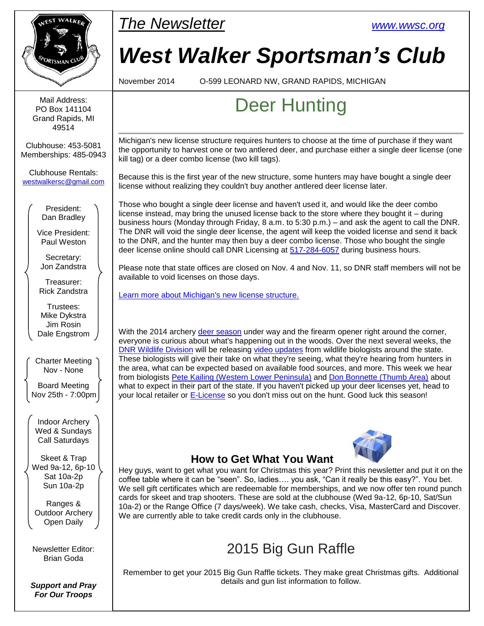

# *West Walker Sportsman's Club*

## Deer Hunting

Michigan's new license structure requires hunters to choose at the time of purchase if they want the opportunity to harvest one or two antlered deer, and purchase either a single deer license (one

Because this is the first year of the new structure, some hunters may have bought a single deer license without realizing they couldn't buy another antlered deer license later.

Those who bought a single deer license and haven't used it, and would like the deer combo license instead, may bring the unused license back to the store where they bought it – during business hours (Monday through Friday, 8 a.m. to 5:30 p.m.) – and ask the agent to call the DNR. The DNR will void the single deer license, the agent will keep the voided license and send it back to the DNR, and the hunter may then buy a deer combo license. Those who bought the single deer license online should call DNR Licensing at [517-284-6057](tel:517-284-6057) during business hours.

Please note that state offices are closed on Nov. 4 and Nov. 11, so DNR staff members will not be

With the 2014 archery [deer season](http://links.govdelivery.com/track?type=click&enid=ZWFzPTEmbWFpbGluZ2lkPTIwMTQxMTAzLjM3NzI5MDExJm1lc3NhZ2VpZD1NREItUFJELUJVTC0yMDE0MTEwMy4zNzcyOTAxMSZkYXRhYmFzZWlkPTEwMDEmc2VyaWFsPTE3MjY2Nzg3JmVtYWlsaWQ9YnJpYW4uZ29kYUBnbWFpbC5jb20mdXNlcmlkPWJyaWFuLmdvZGFAZ21haWwuY29tJmZsPSZleHRyYT1NdWx0aXZhcmlhdGVJZD0mJiY=&&&107&&&http://www.michigan.gov/dnr/0,4570,7-153-10363_10856---,00.html?source=govdelivery&utm_medium=email&utm_source=govdelivery#deer) under way and the firearm opener right around the corner, everyone is curious about what's happening out in the woods. Over the next several weeks, the [DNR Wildlife Division](http://links.govdelivery.com/track?type=click&enid=ZWFzPTEmbWFpbGluZ2lkPTIwMTQxMTAzLjM3NzI5MDExJm1lc3NhZ2VpZD1NREItUFJELUJVTC0yMDE0MTEwMy4zNzcyOTAxMSZkYXRhYmFzZWlkPTEwMDEmc2VyaWFsPTE3MjY2Nzg3JmVtYWlsaWQ9YnJpYW4uZ29kYUBnbWFpbC5jb20mdXNlcmlkPWJyaWFuLmdvZGFAZ21haWwuY29tJmZsPSZleHRyYT1NdWx0aXZhcmlhdGVJZD0mJiY=&&&108&&&http://www.michigan.gov/dnr/0,1607,7-153-10363---,00.html?source=govdelivery&utm_medium=email&utm_source=govdelivery) will be releasing [video updates](http://links.govdelivery.com/track?type=click&enid=ZWFzPTEmbWFpbGluZ2lkPTIwMTQxMTAzLjM3NzI5MDExJm1lc3NhZ2VpZD1NREItUFJELUJVTC0yMDE0MTEwMy4zNzcyOTAxMSZkYXRhYmFzZWlkPTEwMDEmc2VyaWFsPTE3MjY2Nzg3JmVtYWlsaWQ9YnJpYW4uZ29kYUBnbWFpbC5jb20mdXNlcmlkPWJyaWFuLmdvZGFAZ21haWwuY29tJmZsPSZleHRyYT1NdWx0aXZhcmlhdGVJZD0mJiY=&&&109&&&https://www.youtube.com/playlist?list=PLAt8-P23ZJgsIkCLp4HNXpQA3ZJdvYakv&source=govdelivery&utm_medium=email&utm_source=govdelivery) from wildlife biologists around the state. These biologists will give their take on what they're seeing, what they're hearing from hunters in the area, what can be expected based on available food sources, and more. This week we hear from biologists [Pete Kailing \(Western Lower Peninsula\)](http://links.govdelivery.com/track?type=click&enid=ZWFzPTEmbWFpbGluZ2lkPTIwMTQxMTAzLjM3NzI5MDExJm1lc3NhZ2VpZD1NREItUFJELUJVTC0yMDE0MTEwMy4zNzcyOTAxMSZkYXRhYmFzZWlkPTEwMDEmc2VyaWFsPTE3MjY2Nzg3JmVtYWlsaWQ9YnJpYW4uZ29kYUBnbWFpbC5jb20mdXNlcmlkPWJyaWFuLmdvZGFAZ21haWwuY29tJmZsPSZleHRyYT1NdWx0aXZhcmlhdGVJZD0mJiY=&&&110&&&https://www.youtube.com/watch?index=1&list=PLAt8-P23ZJgsIkCLp4HNXpQA3ZJdvYakv&source=govdelivery&utm_medium=email&utm_source=govdelivery&v=qeELpdysIUo) and [Don Bonnette \(Thumb Area\)](http://links.govdelivery.com/track?type=click&enid=ZWFzPTEmbWFpbGluZ2lkPTIwMTQxMTAzLjM3NzI5MDExJm1lc3NhZ2VpZD1NREItUFJELUJVTC0yMDE0MTEwMy4zNzcyOTAxMSZkYXRhYmFzZWlkPTEwMDEmc2VyaWFsPTE3MjY2Nzg3JmVtYWlsaWQ9YnJpYW4uZ29kYUBnbWFpbC5jb20mdXNlcmlkPWJyaWFuLmdvZGFAZ21haWwuY29tJmZsPSZleHRyYT1NdWx0aXZhcmlhdGVJZD0mJiY=&&&111&&&https://www.youtube.com/watch?index=2&list=PLAt8-P23ZJgsIkCLp4HNXpQA3ZJdvYakv&source=govdelivery&utm_medium=email&utm_source=govdelivery&v=QEOqPpDvhw8) about what to expect in their part of the state. If you haven't picked up your deer licenses yet, head to your local retailer or **E-License** so you don't miss out on the hunt. Good luck this season!



### **How to Get What You Want**

Hey guys, want to get what you want for Christmas this year? Print this newsletter and put it on the coffee table where it can be "seen". So, ladies…. you ask, "Can it really be this easy?". You bet. We sell gift certificates which are redeemable for memberships, and we now offer ten round punch cards for skeet and trap shooters. These are sold at the clubhouse (Wed 9a-12, 6p-10, Sat/Sun 10a-2) or the Range Office (7 days/week). We take cash, checks, Visa, MasterCard and Discover. We are currently able to take credit cards only in the clubhouse.

### 2015 Big Gun Raffle

Remember to get your 2015 Big Gun Raffle tickets. They make great Christmas gifts. Additional details and gun list information to follow.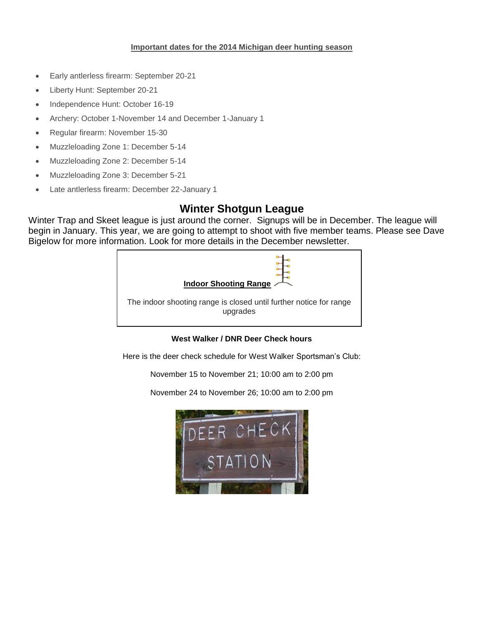#### **Important dates for the 2014 Michigan deer hunting season**

- Early antlerless firearm: September 20-21
- Liberty Hunt: September 20-21
- Independence Hunt: October 16-19
- Archery: October 1-November 14 and December 1-January 1
- Regular firearm: November 15-30
- Muzzleloading Zone 1: December 5-14
- Muzzleloading Zone 2: December 5-14
- Muzzleloading Zone 3: December 5-21
- Late antlerless firearm: December 22-January 1

### **Winter Shotgun League**

Winter Trap and Skeet league is just around the corner. Signups will be in December. The league will begin in January. This year, we are going to attempt to shoot with five member teams. Please see Dave Bigelow for more information. Look for more details in the December newsletter.



**West Walker / DNR Deer Check hours**

Here is the deer check schedule for West Walker Sportsman's Club:

November 15 to November 21; 10:00 am to 2:00 pm

November 24 to November 26; 10:00 am to 2:00 pm

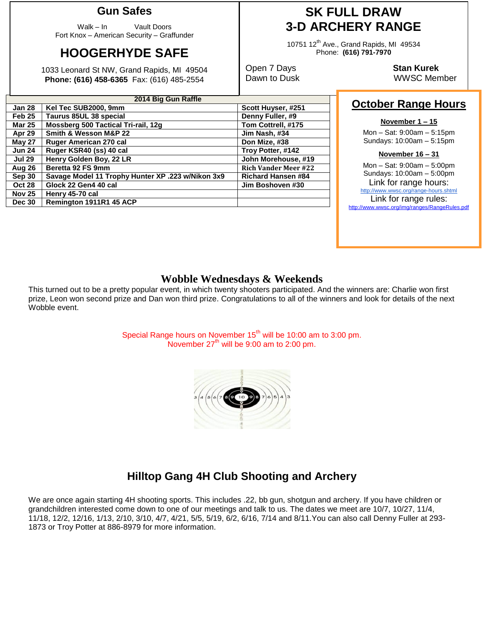### **Gun Safes**

Walk – In Vault Doors Fort Knox – American Security – Graffunder

### **HOOGERHYDE SAFE**

1033 Leonard St NW, Grand Rapids, MI 49504 **Phone: (616) 458-6365** Fax: (616) 485-2554

### **SK FULL DRAW 3-D ARCHERY RANGE**

10751 12<sup>th</sup> Ave., Grand Rapids, MI 49534 Phone: **(616) 791-7970**

Open 7 Days **Stan Kurek**

Dawn to Dusk WWSC Member

### **October Range Hours**

#### **November 1 – 15**

Mon – Sat: 9:00am – 5:15pm Sundays: 10:00am – 5:15pm

#### **November 16 – 31**

Mon – Sat: 9:00am – 5:00pm Sundays: 10:00am – 5:00pm Link for range hours: <http://www.wwsc.org/range-hours.shtml> Link for range rules: http://www.wwsc.org/img/ranges/RangeRules.pdf

### **Wobble Wednesdays & Weekends**

This turned out to be a pretty popular event, in which twenty shooters participated. And the winners are: Charlie won first prize, Leon won second prize and Dan won third prize. Congratulations to all of the winners and look for details of the next Wobble event.

> Special Range hours on November  $15<sup>th</sup>$  will be 10:00 am to 3:00 pm. November  $27<sup>th</sup>$  will be 9:00 am to 2:00 pm.



We are once again starting 4H shooting sports. This includes .22, bb gun, shotgun and archery. If you have children or grandchildren interested come down to one of our meetings and talk to us. The dates we meet are 10/7, 10/27, 11/4, 11/18, 12/2, 12/16, 1/13, 2/10, 3/10, 4/7, 4/21, 5/5, 5/19, 6/2, 6/16, 7/14 and 8/11.You can also call Denny Fuller at 293- 1873 or Troy Potter at 886-8979 for more information.

| 2014 Big Gun Raffle |                                                   |                             |  |  |  |  |
|---------------------|---------------------------------------------------|-----------------------------|--|--|--|--|
| <b>Jan 28</b>       | Kel Tec SUB2000, 9mm                              | Scott Huyser, #251          |  |  |  |  |
| Feb <sub>25</sub>   | Taurus 85UL 38 special                            | Denny Fuller, #9            |  |  |  |  |
| <b>Mar 25</b>       | Mossberg 500 Tactical Tri-rail, 12g               | Tom Cottrell, #175          |  |  |  |  |
| Apr 29              | Smith & Wesson M&P 22                             | Jim Nash, #34               |  |  |  |  |
| <b>May 27</b>       | Ruger American 270 cal                            | Don Mize, #38               |  |  |  |  |
| <b>Jun 24</b>       | Ruger KSR40 (ss) 40 cal                           | Troy Potter, #142           |  |  |  |  |
| <b>Jul 29</b>       | Henry Golden Boy, 22 LR                           | John Morehouse, #19         |  |  |  |  |
| Aug 26              | Beretta 92 FS 9mm                                 | <b>Rich Vander Meer #22</b> |  |  |  |  |
| Sep 30              | Savage Model 11 Trophy Hunter XP .223 w/Nikon 3x9 | <b>Richard Hansen #84</b>   |  |  |  |  |
| <b>Oct 28</b>       | Glock 22 Gen4 40 cal                              | Jim Boshoven #30            |  |  |  |  |
| <b>Nov 25</b>       | Henry 45-70 cal                                   |                             |  |  |  |  |
| <b>Dec 30</b>       | Remington 1911R1 45 ACP                           |                             |  |  |  |  |